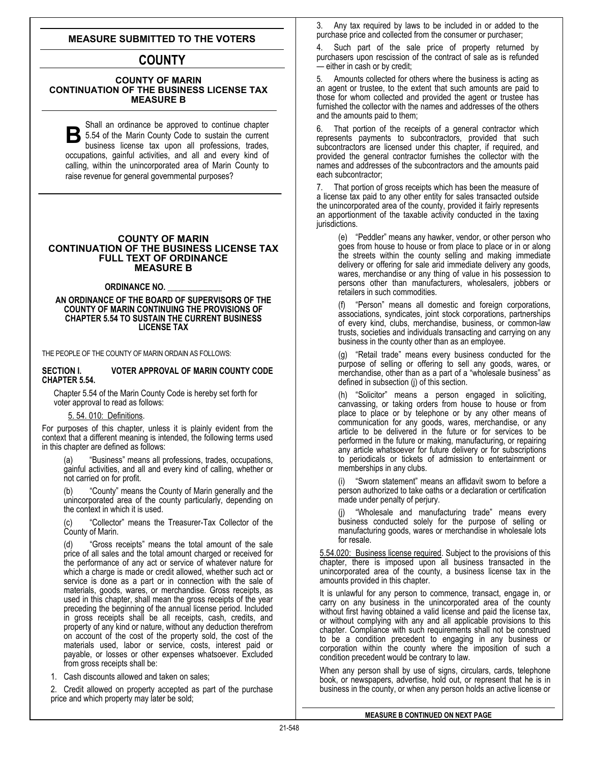# **MEASURE SUBMITTED TO THE VOTERS**

# **COUNTY**

# **COUNTY OF MARIN CONTINUATION OF THE BUSINESS LICENSE TAX MEASURE B**

S hall an ordinance be approved to continue chapter **B** 5.54 of the Marin County Code to sustain the current<br>business license tax upon all professions, trades, business license tax upon all professions, trades, occupations, gainful activities, and all and every kind of calling, within the unincorporated area of Marin County to raise revenue for general governmental purposes?

#### **COUNTY OF MARIN CONTINUATION OF THE BUSINESS LICENSE TAX FULL TEXT OF ORDINANCE MEASURE B**

#### **ORDINANCE NO. \_\_\_\_\_\_\_\_\_\_\_\_\_**

**AN ORDINANCE OF THE BOARD OF SUPERVISORS OF THE COUNTY OF MARIN CONTINUING THE PROVISIONS OF CHAPTER 5.54 TO SUSTAIN THE CURRENT BUSINESS LICENSE TAX**

THE PEOPLE OF THE COUNTY OF MARIN ORDAIN AS FOLLOWS:

#### **SECTION I. VOTER APPROVAL OF MARIN COUNTY CODE CHAPTER 5.54.**

Chapter 5.54 of the Marin County Code is hereby set forth for voter approval to read as follows:

## 5. 54. 010: Definitions.

For purposes of this chapter, unless it is plainly evident from the context that a different meaning is intended, the following terms used in this chapter are defined as follows:

"Business" means all professions, trades, occupations, gainful activities, and all and every kind of calling, whether or not carried on for profit.

"County" means the County of Marin generally and the unincorporated area of the county particularly, depending on the context in which it is used.

"Collector" means the Treasurer-Tax Collector of the County of Marin.

(d) "Gross receipts" means the total amount of the sale price of all sales and the total amount charged or received for the performance of any act or service of whatever nature for which a charge is made or credit allowed, whether such act or service is done as a part or in connection with the sale of materials, goods, wares, or merchandise. Gross receipts, as used in this chapter, shall mean the gross receipts of the year preceding the beginning of the annual license period. Included in gross receipts shall be all receipts, cash, credits, and property of any kind or nature, without any deduction therefrom on account of the cost of the property sold, the cost of the materials used, labor or service, costs, interest paid or payable, or losses or other expenses whatsoever. Excluded from gross receipts shall be:

1. Cash discounts allowed and taken on sales;

2. Credit allowed on property accepted as part of the purchase price and which property may later be sold;

3. Any tax required by laws to be included in or added to the purchase price and collected from the consumer or purchaser;

4. Such part of the sale price of property returned by purchasers upon rescission of the contract of sale as is refunded — either in cash or by credit;

5. Amounts collected for others where the business is acting as an agent or trustee, to the extent that such amounts are paid to those for whom collected and provided the agent or trustee has furnished the collector with the names and addresses of the others and the amounts paid to them;

6. That portion of the receipts of a general contractor which represents payments to subcontractors, provided that such subcontractors are licensed under this chapter, if required, and provided the general contractor furnishes the collector with the names and addresses of the subcontractors and the amounts paid each subcontractor;

7. That portion of gross receipts which has been the measure of a license tax paid to any other entity for sales transacted outside the unincorporated area of the county, provided it fairly represents an apportionment of the taxable activity conducted in the taxing jurisdictions.

(e) "Peddler" means any hawker, vendor, or other person who goes from house to house or from place to place or in or along the streets within the county selling and making immediate delivery or offering for sale arid immediate delivery any goods, wares, merchandise or any thing of value in his possession to persons other than manufacturers, wholesalers, jobbers or retailers in such commodities.

"Person" means all domestic and foreign corporations, associations, syndicates, joint stock corporations, partnerships of every kind, clubs, merchandise, business, or common-law trusts, societies and individuals transacting and carrying on any business in the county other than as an employee.

(g) "Retail trade" means every business conducted for the purpose of selling or offering to sell any goods, wares, or merchandise, other than as a part of a "wholesale business" as defined in subsection (j) of this section.

(h) "Solicitor" means a person engaged in soliciting, canvassing, or taking orders from house to house or from place to place or by telephone or by any other means of communication for any goods, wares, merchandise, or any article to be delivered in the future or for services to be performed in the future or making, manufacturing, or repairing any article whatsoever for future delivery or for subscriptions to periodicals or tickets of admission to entertainment or memberships in any clubs.

(i) "Sworn statement" means an affidavit sworn to before a person authorized to take oaths or a declaration or certification made under penalty of perjury.

"Wholesale and manufacturing trade" means every business conducted solely for the purpose of selling or manufacturing goods, wares or merchandise in wholesale lots for resale.

5.54.020: Business license required. Subject to the provisions of this chapter, there is imposed upon all business transacted in the unincorporated area of the county, a business license tax in the amounts provided in this chapter.

It is unlawful for any person to commence, transact, engage in, or carry on any business in the unincorporated area of the county without first having obtained a valid license and paid the license tax, or without complying with any and all applicable provisions to this chapter. Compliance with such requirements shall not be construed to be a condition precedent to engaging in any business or corporation within the county where the imposition of such a condition precedent would be contrary to law.

When any person shall by use of signs, circulars, cards, telephone book, or newspapers, advertise, hold out, or represent that he is in business in the county, or when any person holds an active license or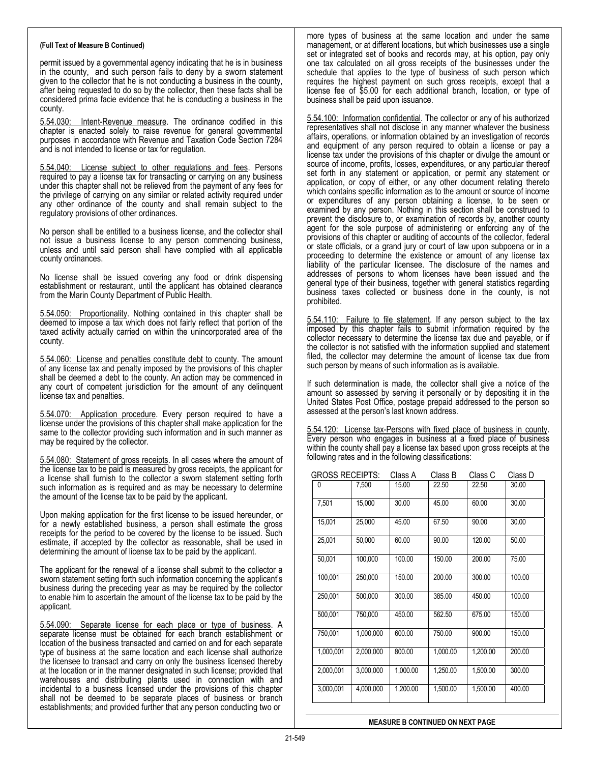permit issued by a governmental agency indicating that he is in business in the county, and such person fails to deny by a sworn statement given to the collector that he is not conducting a business in the county, after being requested to do so by the collector, then these facts shall be considered prima facie evidence that he is conducting a business in the county.

5.54.030: Intent-Revenue measure. The ordinance codified in this chapter is enacted solely to raise revenue for general governmental purposes in accordance with Revenue and Taxation Code Section 7284 and is not intended to license or tax for regulation.

5.54.040: License subject to other regulations and fees. Persons required to pay a license tax for transacting or carrying on any business under this chapter shall not be relieved from the payment of any fees for the privilege of carrying on any similar or related activity required under any other ordinance of the county and shall remain subject to the regulatory provisions of other ordinances.

No person shall be entitled to a business license, and the collector shall not issue a business license to any person commencing business, unless and until said person shall have complied with all applicable county ordinances.

No license shall be issued covering any food or drink dispensing establishment or restaurant, until the applicant has obtained clearance from the Marin County Department of Public Health.

5.54.050: Proportionality. Nothing contained in this chapter shall be deemed to impose a tax which does not fairly reflect that portion of the taxed activity actually carried on within the unincorporated area of the county.

5.54.060: License and penalties constitute debt to county. The amount of any license tax and penalty imposed by the provisions of this chapter shall be deemed a debt to the county. An action may be commenced in any court of competent jurisdiction for the amount of any delinquent license tax and penalties.

5.54.070: Application procedure. Every person required to have a license under the provisions of this chapter shall make application for the same to the collector providing such information and in such manner as may be required by the collector.

5.54.080: Statement of gross receipts. In all cases where the amount of the license tax to be paid is measured by gross receipts, the applicant for a license shall furnish to the collector a sworn statement setting forth such information as is required and as may be necessary to determine the amount of the license tax to be paid by the applicant.

Upon making application for the first license to be issued hereunder, or for a newly established business, a person shall estimate the gross receipts for the period to be covered by the license to be issued. Such estimate, if accepted by the collector as reasonable, shall be used in determining the amount of license tax to be paid by the applicant.

The applicant for the renewal of a license shall submit to the collector a sworn statement setting forth such information concerning the applicant's business during the preceding year as may be required by the collector to enable him to ascertain the amount of the license tax to be paid by the applicant.

5.54.090: Separate license for each place or type of business. A separate license must be obtained for each branch establishment or location of the business transacted and carried on and for each separate type of business at the same location and each license shall authorize the licensee to transact and carry on only the business licensed thereby at the location or in the manner designated in such license; provided that warehouses and distributing plants used in connection with and incidental to a business licensed under the provisions of this chapter shall not be deemed to be separate places of business or branch establishments; and provided further that any person conducting two or

more types of business at the same location and under the same management, or at different locations, but which businesses use a single set or integrated set of books and records may, at his option, pay only one tax calculated on all gross receipts of the businesses under the schedule that applies to the type of business of such person which requires the highest payment on such gross receipts, except that a license fee of \$5.00 for each additional branch, location, or type of business shall be paid upon issuance.

5.54.100: Information confidential. The collector or any of his authorized representatives shall not disclose in any manner whatever the business affairs, operations, or information obtained by an investigation of records and equipment of any person required to obtain a license or pay a license tax under the provisions of this chapter or divulge the amount or source of income, profits, losses, expenditures, or any particular thereof set forth in any statement or application, or permit any statement or application, or copy of either, or any other document relating thereto which contains specific information as to the amount or source of income or expenditures of any person obtaining a license, to be seen or examined by any person. Nothing in this section shall be construed to prevent the disclosure to, or examination of records by, another county agent for the sole purpose of administering or enforcing any of the provisions of this chapter or auditing of accounts of the collector, federal or state officials, or a grand jury or court of law upon subpoena or in a proceeding to determine the existence or amount of any license tax liability of the particular licensee. The disclosure of the names and addresses of persons to whom licenses have been issued and the general type of their business, together with general statistics regarding business taxes collected or business done in the county, is not prohibited.

5.54.110: Failure to file statement. If any person subject to the tax imposed by this chapter fails to submit information required by the collector necessary to determine the license tax due and payable, or if the collector is not satisfied with the information supplied and statement filed, the collector may determine the amount of license tax due from such person by means of such information as is available.

If such determination is made, the collector shall give a notice of the amount so assessed by serving it personally or by depositing it in the United States Post Office, postage prepaid addressed to the person so assessed at the person's last known address.

5.54.120: License tax-Persons with fixed place of business in county. Every person who engages in business at a fixed place of business within the county shall pay a license tax based upon gross receipts at the following rates and in the following classifications:

| <b>GROSS RECEIPTS:</b> |           | Class A  | Class B  | Class C  | Class D |
|------------------------|-----------|----------|----------|----------|---------|
| 0                      | 7,500     | 15.00    | 22.50    | 22.50    | 30.00   |
| 7,501                  | 15,000    | 30.00    | 45.00    | 60.00    | 30.00   |
| 15,001                 | 25,000    | 45.00    | 67.50    | 90.00    | 30.00   |
| 25,001                 | 50,000    | 60.00    | 90.00    | 120.00   | 50.00   |
| 50,001                 | 100,000   | 100.00   | 150.00   | 200.00   | 75.00   |
| 100,001                | 250,000   | 150.00   | 200.00   | 300.00   | 100.00  |
| 250,001                | 500,000   | 300.00   | 385.00   | 450.00   | 100.00  |
| 500,001                | 750,000   | 450.00   | 562.50   | 675.00   | 150.00  |
| 750,001                | 1,000,000 | 600.00   | 750.00   | 900.00   | 150.00  |
| 1,000,001              | 2,000,000 | 800.00   | 1,000.00 | 1,200.00 | 200.00  |
| 2,000,001              | 3,000,000 | 1,000.00 | 1,250.00 | 1,500.00 | 300.00  |
| 3,000,001              | 4,000,000 | 1,200.00 | 1,500.00 | 1,500.00 | 400.00  |

**MEASURE B CONTINUED ON NEXT PAGE**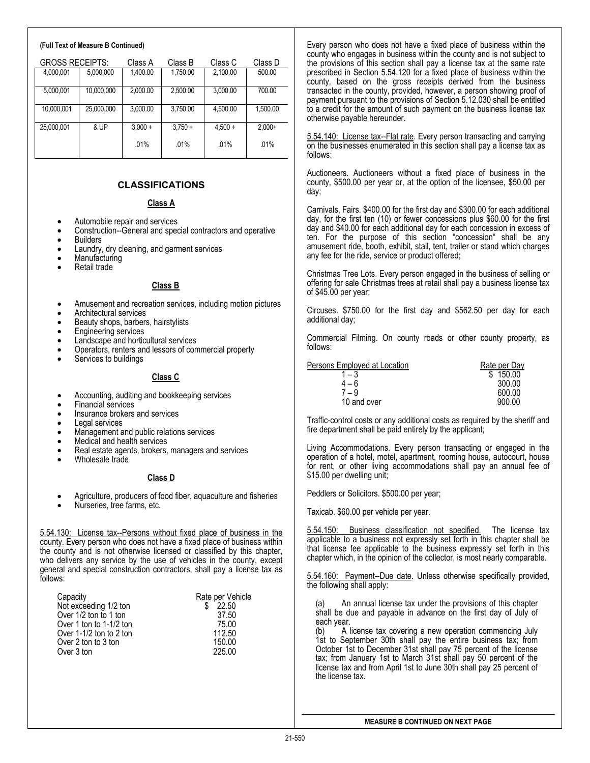| <b>GROSS RECEIPTS:</b> |            | Class A   | Class B   | Class C   | Class D  |
|------------------------|------------|-----------|-----------|-----------|----------|
| 4,000,001              | 5,000,000  | 1,400.00  | 1,750.00  | 2,100.00  | 500.00   |
| 5,000,001              | 10,000,000 | 2,000.00  | 2.500.00  | 3,000.00  | 700.00   |
| 10,000,001             | 25,000,000 | 3,000.00  | 3,750.00  | 4,500.00  | 1,500.00 |
| 25,000,001             | & UP       | $3.000 +$ | $3.750 +$ | $4.500 +$ | $2.000+$ |
|                        |            | .01%      | .01%      | .01%      | .01%     |

# **CLASSIFICATIONS**

#### **Class A**

- 
- Automobile repair and services<br>• Construction--General and special contractors and operative • Builders
- 
- Laundry, dry cleaning, and garment services<br>Manufacturing
- Retail trade

## **Class B**

- Amusement and recreation services, including motion pictures
- Architectural services
- Beauty shops, barbers, hairstylists
- Engineering services
- Landscape and horticultural services
- Operators, renters and lessors of commercial property
- Services to buildings

# **Class C**

- Accounting, auditing and bookkeeping services
- Financial services
- Insurance brokers and services
- Legal services
- Management and public relations services
- Medical and health services
- Real estate agents, brokers, managers and services
- Wholesale trade

# **Class D**

• Agriculture, producers of food fiber, aquaculture and fisheries

• Nurseries, tree farms, etc.

5.54.130: License tax--Persons without fixed place of business in the county. Every person who does not have a fixed place of business within the county and is not otherwise licensed or classified by this chapter, who delivers any service by the use of vehicles in the county, except general and special construction contractors, shall pay a license tax as follows:

| Capacity                | Rate per Vehicle |
|-------------------------|------------------|
| Not exceeding 1/2 ton   | 22.50            |
| Over 1/2 ton to 1 ton   | 37.50            |
| Over 1 ton to 1-1/2 ton | 75.00            |
| Over 1-1/2 ton to 2 ton | 112.50           |
| Over 2 ton to 3 ton     | 150.00           |
| Over 3 ton              | 225.00           |

Every person who does not have a fixed place of business within the county who engages in business within the county and is not subject to the provisions of this section shall pay a license tax at the same rate prescribed in Section 5.54.120 for a fixed place of business within the county, based on the gross receipts derived from the business transacted in the county, provided, however, a person showing proof of payment pursuant to the provisions of Section 5.12.030 shall be entitled to a credit for the amount of such payment on the business license tax otherwise payable hereunder.

5.54.140: License tax--Flat rate. Every person transacting and carrying on the businesses enumerated in this section shall pay a license tax as follows:

Auctioneers. Auctioneers without a fixed place of business in the county, \$500.00 per year or, at the option of the licensee, \$50.00 per day;

Carnivals, Fairs. \$400.00 for the first day and \$300.00 for each additional day, for the first ten (10) or fewer concessions plus \$60.00 for the first day and \$40.00 for each additional day for each concession in excess of ten. For the purpose of this section "concession" shall be any amusement ride, booth, exhibit, stall, tent, trailer or stand which charges any fee for the ride, service or product offered;

Christmas Tree Lots. Every person engaged in the business of selling or offering for sale Christmas trees at retail shall pay a business license tax of \$45.00 per year;

Circuses. \$750.00 for the first day and \$562.50 per day for each additional day;

Commercial Filming. On county roads or other county property, as follows:

| Persons Employed at Location | Rate per Day |  |
|------------------------------|--------------|--|
| - 3                          | \$150.00     |  |
| $4 - 6$                      | 300.00       |  |
| $7 - 9$                      | 600.00       |  |
| 10 and over                  | 900.00       |  |

Traffic-control costs or any additional costs as required by the sheriff and fire department shall be paid entirely by the applicant;

Living Accommodations. Every person transacting or engaged in the operation of a hotel, motel, apartment, rooming house, autocourt, house for rent, or other living accommodations shall pay an annual fee of \$15.00 per dwelling unit;

Peddlers or Solicitors. \$500.00 per year;

Taxicab. \$60.00 per vehicle per year.

5.54.150: Business classification not specified. The license tax applicable to a business not expressly set forth in this chapter shall be that license fee applicable to the business expressly set forth in this chapter which, in the opinion of the collector, is most nearly comparable.

5.54.160: Payment--Due date. Unless otherwise specifically provided, the following shall apply:

An annual license tax under the provisions of this chapter shall be due and payable in advance on the first day of July of each year.

(b) A license tax covering a new operation commencing July 1st to September 30th shall pay the entire business tax; from October 1st to December 31st shall pay 75 percent of the license tax; from January 1st to March 31st shall pay 50 percent of the license tax and from April 1st to June 30th shall pay 25 percent of the license tax.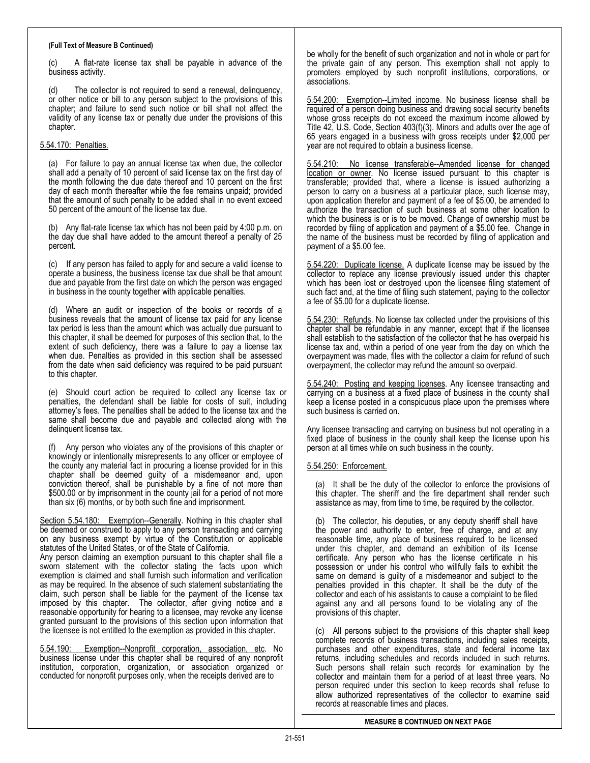(c) A flat-rate license tax shall be payable in advance of the business activity.

(d) The collector is not required to send a renewal, delinquency, or other notice or bill to any person subject to the provisions of this chapter; and failure to send such notice or bill shall not affect the validity of any license tax or penalty due under the provisions of this chapter.

## 5.54.170: Penalties.

(a) For failure to pay an annual license tax when due, the collector shall add a penalty of 10 percent of said license tax on the first day of the month following the due date thereof and 10 percent on the first day of each month thereafter while the fee remains unpaid; provided that the amount of such penalty to be added shall in no event exceed 50 percent of the amount of the license tax due.

(b) Any flat-rate license tax which has not been paid by 4:00 p.m. on the day due shall have added to the amount thereof a penalty of 25 percent.

(c) If any person has failed to apply for and secure a valid license to operate a business, the business license tax due shall be that amount due and payable from the first date on which the person was engaged in business in the county together with applicable penalties.

(d) Where an audit or inspection of the books or records of a business reveals that the amount of license tax paid for any license tax period is less than the amount which was actually due pursuant to this chapter, it shall be deemed for purposes of this section that, to the extent of such deficiency, there was a failure to pay a license tax when due. Penalties as provided in this section shall be assessed from the date when said deficiency was required to be paid pursuant to this chapter.

(e) Should court action be required to collect any license tax or penalties, the defendant shall be liable for costs of suit, including attorney's fees. The penalties shall be added to the license tax and the same shall become due and payable and collected along with the delinquent license tax.

Any person who violates any of the provisions of this chapter or knowingly or intentionally misrepresents to any officer or employee of the county any material fact in procuring a license provided for in this chapter shall be deemed guilty of a misdemeanor and, upon conviction thereof, shall be punishable by a fine of not more than \$500.00 or by imprisonment in the county jail for a period of not more than six (6) months, or by both such fine and imprisonment.

Section 5.54.180: Exemption--Generally. Nothing in this chapter shall be deemed or construed to apply to any person transacting and carrying on any business exempt by virtue of the Constitution or applicable statutes of the United States, or of the State of California.

Any person claiming an exemption pursuant to this chapter shall file a sworn statement with the collector stating the facts upon which exemption is claimed and shall furnish such information and verification as may be required. In the absence of such statement substantiating the claim, such person shall be liable for the payment of the license tax imposed by this chapter. The collector, after giving notice and a reasonable opportunity for hearing to a licensee, may revoke any license granted pursuant to the provisions of this section upon information that the licensee is not entitled to the exemption as provided in this chapter.

5.54.190: Exemption--Nonprofit corporation, association, etc. No business license under this chapter shall be required of any nonprofit institution, corporation, organization, or association organized or conducted for nonprofit purposes only, when the receipts derived are to

be wholly for the benefit of such organization and not in whole or part for the private gain of any person. This exemption shall not apply to promoters employed by such nonprofit institutions, corporations, or associations.

5.54.200: Exemption--Limited income. No business license shall be required of a person doing business and drawing social security benefits whose gross receipts do not exceed the maximum income allowed by Title 42, U.S. Code, Section 403(f)(3). Minors and adults over the age of 65 years engaged in a business with gross receipts under \$2,000 per year are not required to obtain a business license.

5.54.210: No license transferable--Amended license for changed location or owner. No license issued pursuant to this chapter is transferable; provided that, where a license is issued authorizing a person to carry on a business at a particular place, such license may, upon application therefor and payment of a fee of \$5.00, be amended to authorize the transaction of such business at some other location to which the business is or is to be moved. Change of ownership must be recorded by filing of application and payment of a \$5.00 fee. Change in the name of the business must be recorded by filing of application and payment of a \$5.00 fee.

5.54.220: Duplicate license. A duplicate license may be issued by the collector to replace any license previously issued under this chapter which has been lost or destroyed upon the licensee filing statement of such fact and, at the time of filing such statement, paying to the collector a fee of \$5.00 for a duplicate license.

5.54.230: Refunds. No license tax collected under the provisions of this chapter shall be refundable in any manner, except that if the licensee shall establish to the satisfaction of the collector that he has overpaid his license tax and, within a period of one year from the day on which the overpayment was made, files with the collector a claim for refund of such overpayment, the collector may refund the amount so overpaid.

5.54.240: Posting and keeping licenses. Any licensee transacting and carrying on a business at a fixed place of business in the county shall keep a license posted in a conspicuous place upon the premises where such business is carried on.

Any licensee transacting and carrying on business but not operating in a fixed place of business in the county shall keep the license upon his person at all times while on such business in the county.

## 5.54.250: Enforcement.

(a) It shall be the duty of the collector to enforce the provisions of this chapter. The sheriff and the fire department shall render such assistance as may, from time to time, be required by the collector.

(b) The collector, his deputies, or any deputy sheriff shall have the power and authority to enter, free of charge, and at any reasonable time, any place of business required to be licensed under this chapter, and demand an exhibition of its license certificate. Any person who has the license certificate in his possession or under his control who willfully fails to exhibit the same on demand is guilty of a misdemeanor and subject to the penalties provided in this chapter. It shall be the duty of the collector and each of his assistants to cause a complaint to be filed against any and all persons found to be violating any of the provisions of this chapter.

(c) All persons subject to the provisions of this chapter shall keep complete records of business transactions, including sales receipts, purchases and other expenditures, state and federal income tax returns, including schedules and records included in such returns. Such persons shall retain such records for examination by the collector and maintain them for a period of at least three years. No person required under this section to keep records shall refuse to allow authorized representatives of the collector to examine said records at reasonable times and places.

**MEASURE B CONTINUED ON NEXT PAGE**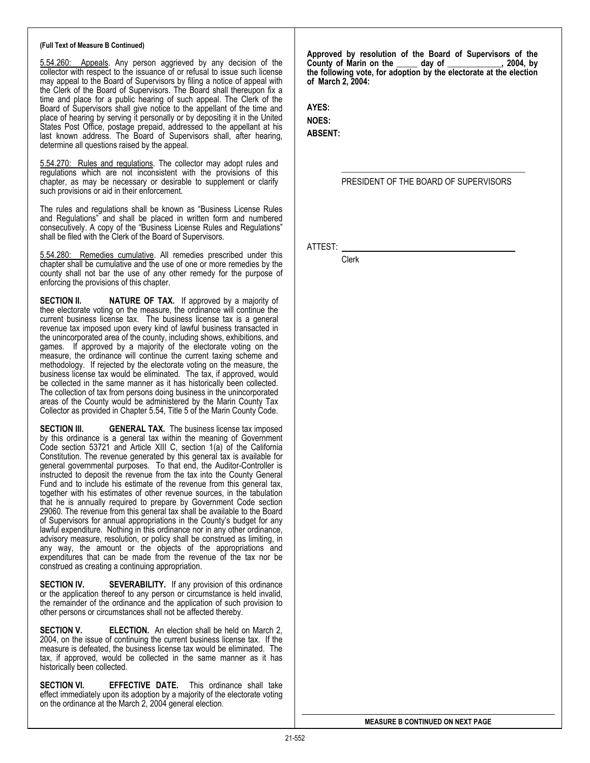5.54.260: Appeals. Any person aggrieved by any decision of the collector with respect to the issuance of or refusal to issue such license may appeal to the Board of Supervisors by filing a notice of appeal with the Clerk of the Board of Supervisors. The Board shall thereupon fix a time and place for a public hearing of such appeal. The Clerk of the Board of Supervisors shall give notice to the appellant of the time and place of hearing by serving it personally or by depositing it in the United States Post Office, postage prepaid, addressed to the appellant at his last known address. The Board of Supervisors shall, after hearing, determine all questions raised by the appeal.

5.54.270: Rules and regulations. The collector may adopt rules and regulations which are not inconsistent with the provisions of this chapter, as may be necessary or desirable to supplement or clarify such provisions or aid in their enforcement.

The rules and regulations shall be known as "Business License Rules and Regulations" and shall be placed in written form and numbered consecutively. A copy of the "Business License Rules and Regulations" shall be filed with the Clerk of the Board of Supervisors.

5.54.280: Remedies cumulative. All remedies prescribed under this chapter shall be cumulative and the use of one or more remedies by the county shall not bar the use of any other remedy for the purpose of enforcing the provisions of this chapter.

**SECTION II. NATURE OF TAX.** If approved by a majority of thee electorate voting on the measure, the ordinance will continue the current business license tax. The business license tax is a general revenue tax imposed upon every kind of lawful business transacted in the unincorporated area of the county, including shows, exhibitions, and games. If approved by a majority of the electorate voting on the measure, the ordinance will continue the current taxing scheme and methodology. If rejected by the electorate voting on the measure, the business license tax would be eliminated. The tax, if approved, would be collected in the same manner as it has historically been collected. The collection of tax from persons doing business in the unincorporated areas of the County would be administered by the Marin County Tax Collector as provided in Chapter 5.54, Title 5 of the Marin County Code.

**SECTION III. GENERAL TAX.** The business license tax imposed by this ordinance is a general tax within the meaning of Government Code section 53721 and Article XIII C, section 1(a) of the California Constitution. The revenue generated by this general tax is available for general governmental purposes. To that end, the Auditor-Controller is instructed to deposit the revenue from the tax into the County General Fund and to include his estimate of the revenue from this general tax, together with his estimates of other revenue sources, in the tabulation that he is annually required to prepare by Government Code section 29060. The revenue from this general tax shall be available to the Board of Supervisors for annual appropriations in the County's budget for any lawful expenditure. Nothing in this ordinance nor in any other ordinance, advisory measure, resolution, or policy shall be construed as limiting, in any way, the amount or the objects of the appropriations and expenditures that can be made from the revenue of the tax nor be construed as creating a continuing appropriation.

**SECTION IV.** SEVERABILITY. If any provision of this ordinance or the application thereof to any person or circumstance is held invalid, the remainder of the ordinance and the application of such provision to other persons or circumstances shall not be affected thereby.

**SECTION V. ELECTION.** An election shall be held on March 2, 2004, on the issue of continuing the current business license tax. If the measure is defeated, the business license tax would be eliminated. The tax, if approved, would be collected in the same manner as it has historically been collected.

**SECTION VI. EFFECTIVE DATE.** This ordinance shall take effect immediately upon its adoption by a majority of the electorate voting on the ordinance at the March 2, 2004 general election.

**Approved by resolution of the Board of Supervisors of the County of Marin on the day of the county of Marin on the day of the county of Marin county the following vote, for adoption by the electorate at the election of March 2, 2004:** 

**AYES: NOES:** 

**ABSENT:** 

PRESIDENT OF THE BOARD OF SUPERVISORS

 $\frac{1}{\sqrt{2}}$  ,  $\frac{1}{\sqrt{2}}$  ,  $\frac{1}{\sqrt{2}}$  ,  $\frac{1}{\sqrt{2}}$  ,  $\frac{1}{\sqrt{2}}$  ,  $\frac{1}{\sqrt{2}}$  ,  $\frac{1}{\sqrt{2}}$  ,  $\frac{1}{\sqrt{2}}$  ,  $\frac{1}{\sqrt{2}}$  ,  $\frac{1}{\sqrt{2}}$  ,  $\frac{1}{\sqrt{2}}$  ,  $\frac{1}{\sqrt{2}}$  ,  $\frac{1}{\sqrt{2}}$  ,  $\frac{1}{\sqrt{2}}$  ,  $\frac{1}{\sqrt{2}}$ 

ATTEST:

Clerk

**MEASURE B CONTINUED ON NEXT PAGE**